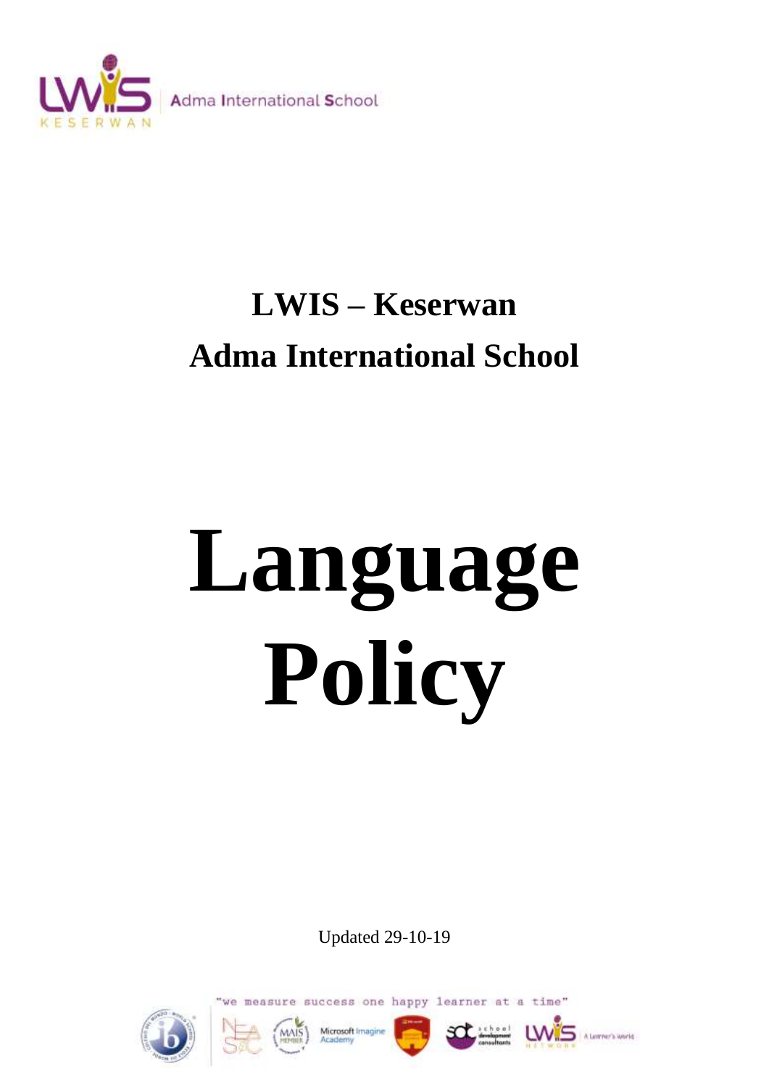

# **LWIS – Keserwan Adma International School**

# **Language Policy**

Updated 29-10-19

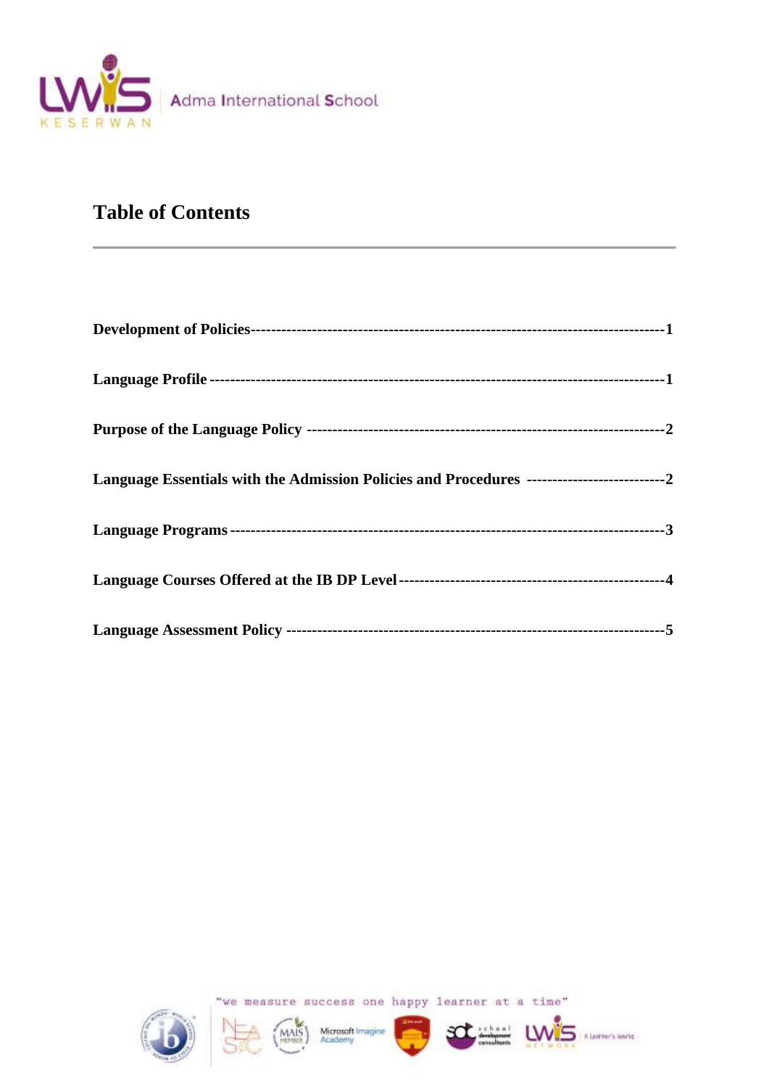

# **Table of Contents**



"we measure success one happy learner at a time"

LW<sub>S</sub>

A Lemmer's World

MAIS Microsoft Imagine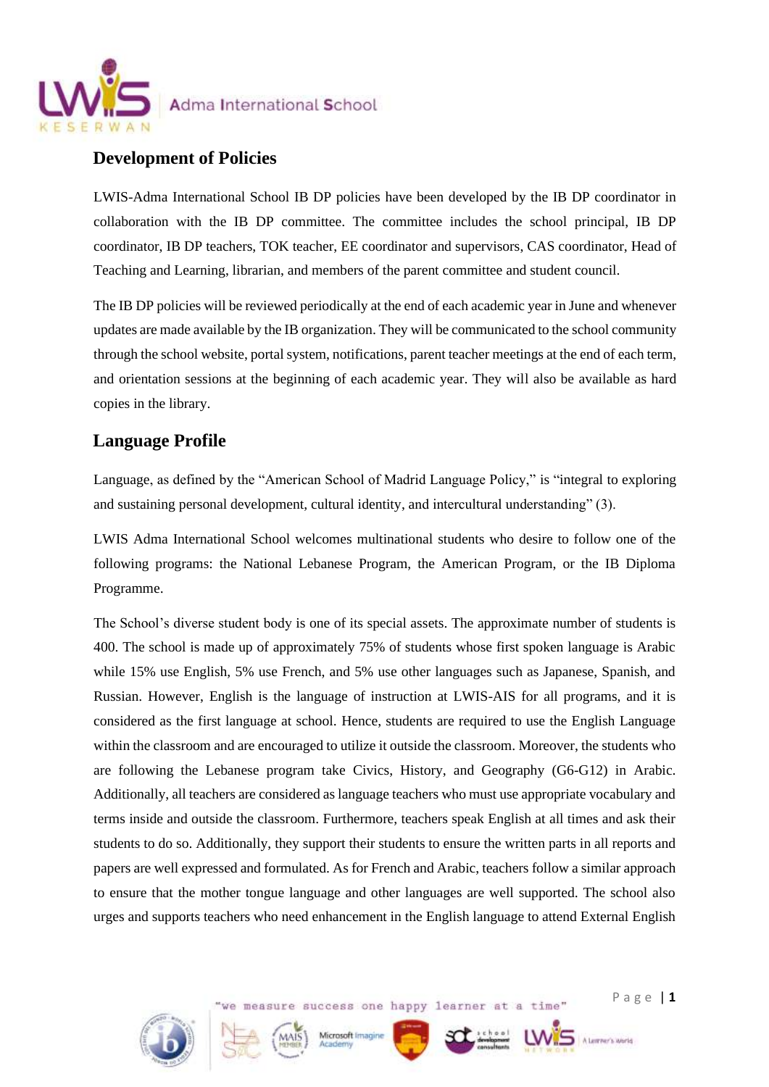

## **Development of Policies**

LWIS-Adma International School IB DP policies have been developed by the IB DP coordinator in collaboration with the IB DP committee. The committee includes the school principal, IB DP coordinator, IB DP teachers, TOK teacher, EE coordinator and supervisors, CAS coordinator, Head of Teaching and Learning, librarian, and members of the parent committee and student council.

The IB DP policies will be reviewed periodically at the end of each academic year in June and whenever updates are made available by the IB organization. They will be communicated to the school community through the school website, portal system, notifications, parent teacher meetings at the end of each term, and orientation sessions at the beginning of each academic year. They will also be available as hard copies in the library.

# **Language Profile**

Language, as defined by the "American School of Madrid Language Policy," is "integral to exploring and sustaining personal development, cultural identity, and intercultural understanding" (3).

LWIS Adma International School welcomes multinational students who desire to follow one of the following programs: the National Lebanese Program, the American Program, or the IB Diploma Programme.

The School's diverse student body is one of its special assets. The approximate number of students is 400. The school is made up of approximately 75% of students whose first spoken language is Arabic while 15% use English, 5% use French, and 5% use other languages such as Japanese, Spanish, and Russian. However, English is the language of instruction at LWIS-AIS for all programs, and it is considered as the first language at school. Hence, students are required to use the English Language within the classroom and are encouraged to utilize it outside the classroom. Moreover, the students who are following the Lebanese program take Civics, History, and Geography (G6-G12) in Arabic. Additionally, all teachers are considered as language teachers who must use appropriate vocabulary and terms inside and outside the classroom. Furthermore, teachers speak English at all times and ask their students to do so. Additionally, they support their students to ensure the written parts in all reports and papers are well expressed and formulated. As for French and Arabic, teachers follow a similar approach to ensure that the mother tongue language and other languages are well supported. The school also urges and supports teachers who need enhancement in the English language to attend External English

we measure success one happy learner at a time"

Microsoft Imagine

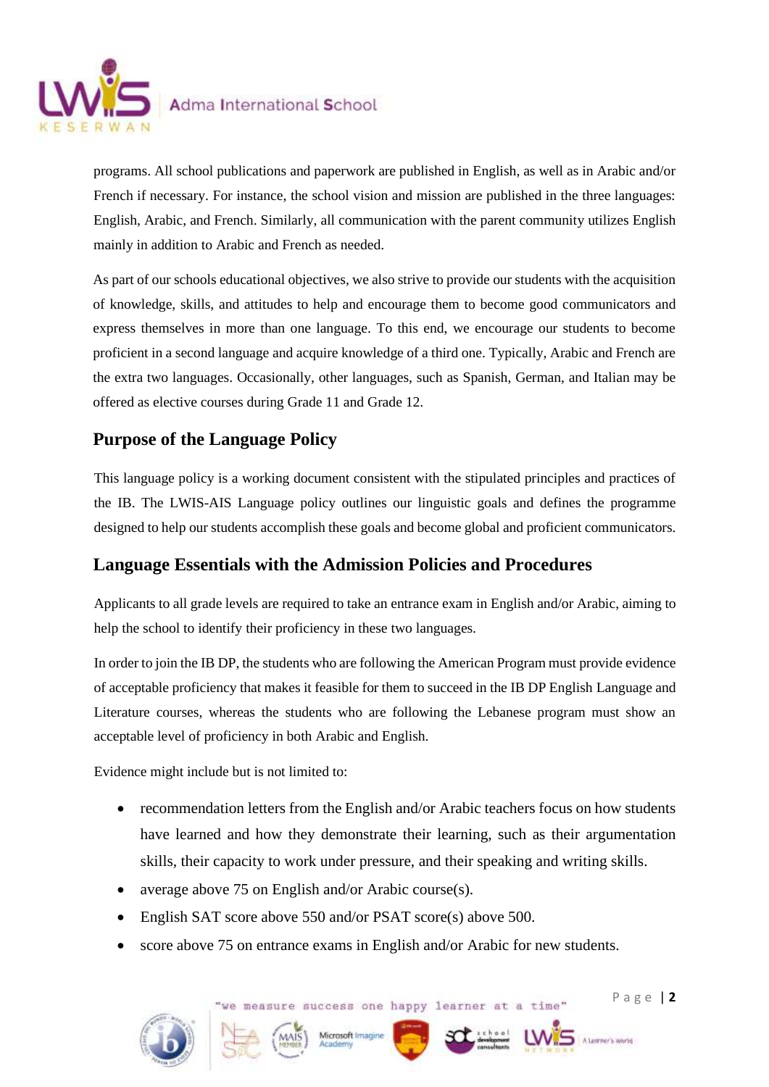

programs. All school publications and paperwork are published in English, as well as in Arabic and/or French if necessary. For instance, the school vision and mission are published in the three languages: English, Arabic, and French. Similarly, all communication with the parent community utilizes English mainly in addition to Arabic and French as needed.

As part of our schools educational objectives, we also strive to provide our students with the acquisition of knowledge, skills, and attitudes to help and encourage them to become good communicators and express themselves in more than one language. To this end, we encourage our students to become proficient in a second language and acquire knowledge of a third one. Typically, Arabic and French are the extra two languages. Occasionally, other languages, such as Spanish, German, and Italian may be offered as elective courses during Grade 11 and Grade 12.

# **Purpose of the Language Policy**

This language policy is a working document consistent with the stipulated principles and practices of the IB. The LWIS-AIS Language policy outlines our linguistic goals and defines the programme designed to help our students accomplish these goals and become global and proficient communicators.

# **Language Essentials with the Admission Policies and Procedures**

Applicants to all grade levels are required to take an entrance exam in English and/or Arabic, aiming to help the school to identify their proficiency in these two languages.

In order to join the IB DP, the students who are following the American Program must provide evidence of acceptable proficiency that makes it feasible for them to succeed in the IB DP English Language and Literature courses, whereas the students who are following the Lebanese program must show an acceptable level of proficiency in both Arabic and English.

Evidence might include but is not limited to:

- recommendation letters from the English and/or Arabic teachers focus on how students have learned and how they demonstrate their learning, such as their argumentation skills, their capacity to work under pressure, and their speaking and writing skills.
- average above 75 on English and/or Arabic course(s).
- English SAT score above 550 and/or PSAT score(s) above 500.
- score above 75 on entrance exams in English and/or Arabic for new students.

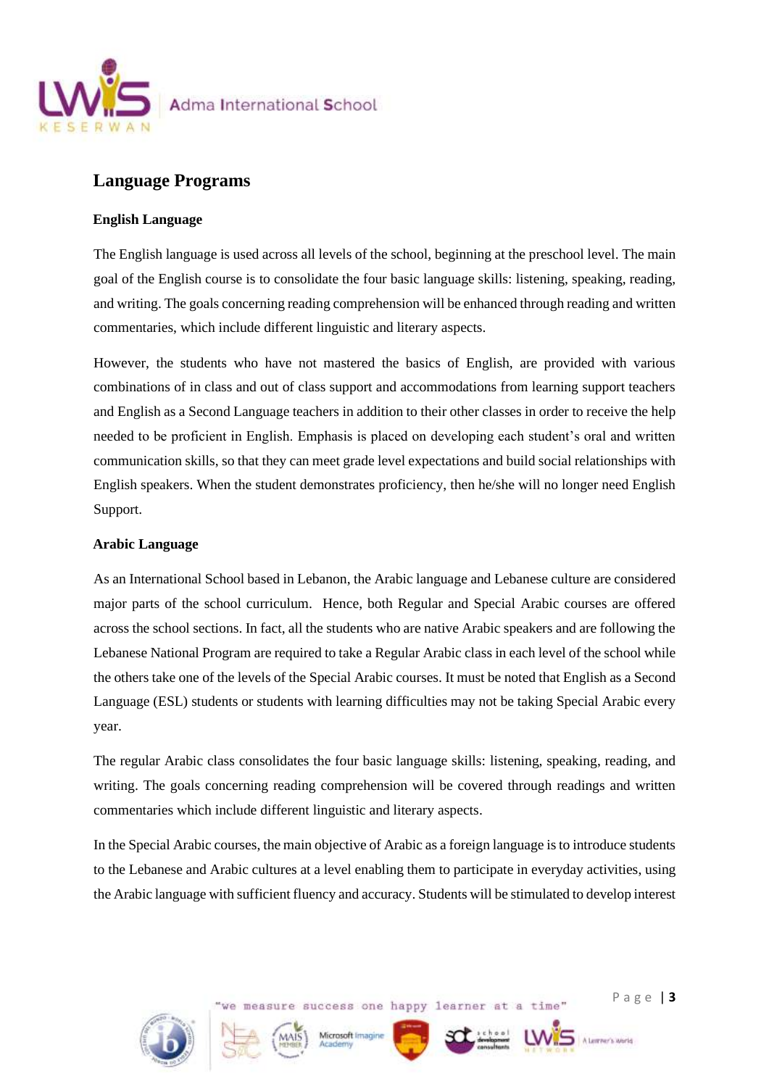

## **Language Programs**

#### **English Language**

The English language is used across all levels of the school, beginning at the preschool level. The main goal of the English course is to consolidate the four basic language skills: listening, speaking, reading, and writing. The goals concerning reading comprehension will be enhanced through reading and written commentaries, which include different linguistic and literary aspects.

However, the students who have not mastered the basics of English, are provided with various combinations of in class and out of class support and accommodations from learning support teachers and English as a Second Language teachers in addition to their other classes in order to receive the help needed to be proficient in English. Emphasis is placed on developing each student's oral and written communication skills, so that they can meet grade level expectations and build social relationships with English speakers. When the student demonstrates proficiency, then he/she will no longer need English Support.

#### **Arabic Language**

As an International School based in Lebanon, the Arabic language and Lebanese culture are considered major parts of the school curriculum. Hence, both Regular and Special Arabic courses are offered across the school sections. In fact, all the students who are native Arabic speakers and are following the Lebanese National Program are required to take a Regular Arabic class in each level of the school while the others take one of the levels of the Special Arabic courses. It must be noted that English as a Second Language (ESL) students or students with learning difficulties may not be taking Special Arabic every year.

The regular Arabic class consolidates the four basic language skills: listening, speaking, reading, and writing. The goals concerning reading comprehension will be covered through readings and written commentaries which include different linguistic and literary aspects.

In the Special Arabic courses, the main objective of Arabic as a foreign language is to introduce students to the Lebanese and Arabic cultures at a level enabling them to participate in everyday activities, using the Arabic language with sufficient fluency and accuracy. Students will be stimulated to develop interest

we measure success one happy learner at a time"

Microsoft Imagine



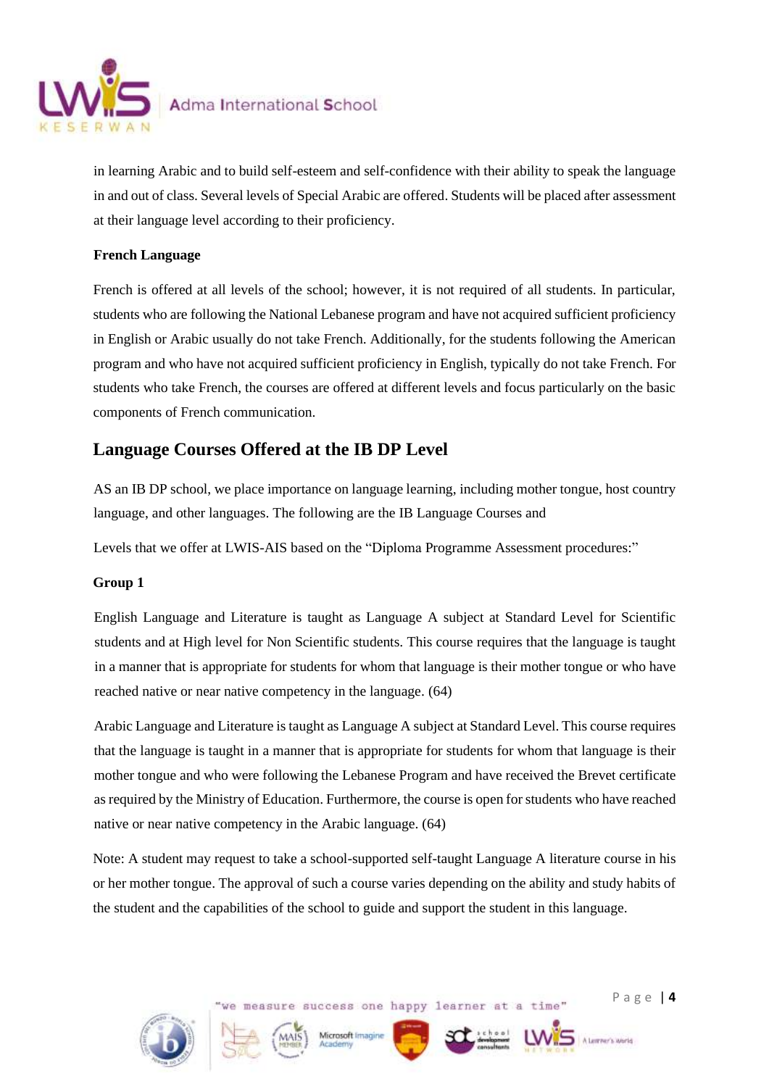

in learning Arabic and to build self-esteem and self-confidence with their ability to speak the language in and out of class. Several levels of Special Arabic are offered. Students will be placed after assessment at their language level according to their proficiency.

#### **French Language**

French is offered at all levels of the school; however, it is not required of all students. In particular, students who are following the National Lebanese program and have not acquired sufficient proficiency in English or Arabic usually do not take French. Additionally, for the students following the American program and who have not acquired sufficient proficiency in English, typically do not take French. For students who take French, the courses are offered at different levels and focus particularly on the basic components of French communication.

# **Language Courses Offered at the IB DP Level**

AS an IB DP school, we place importance on language learning, including mother tongue, host country language, and other languages. The following are the IB Language Courses and

Levels that we offer at LWIS-AIS based on the "Diploma Programme Assessment procedures:"

#### **Group 1**

English Language and Literature is taught as Language A subject at Standard Level for Scientific students and at High level for Non Scientific students. This course requires that the language is taught in a manner that is appropriate for students for whom that language is their mother tongue or who have reached native or near native competency in the language. (64)

Arabic Language and Literature is taught as Language A subject at Standard Level. This course requires that the language is taught in a manner that is appropriate for students for whom that language is their mother tongue and who were following the Lebanese Program and have received the Brevet certificate as required by the Ministry of Education. Furthermore, the course is open for students who have reached native or near native competency in the Arabic language. (64)

Note: A student may request to take a school-supported self-taught Language A literature course in his or her mother tongue. The approval of such a course varies depending on the ability and study habits of the student and the capabilities of the school to guide and support the student in this language.

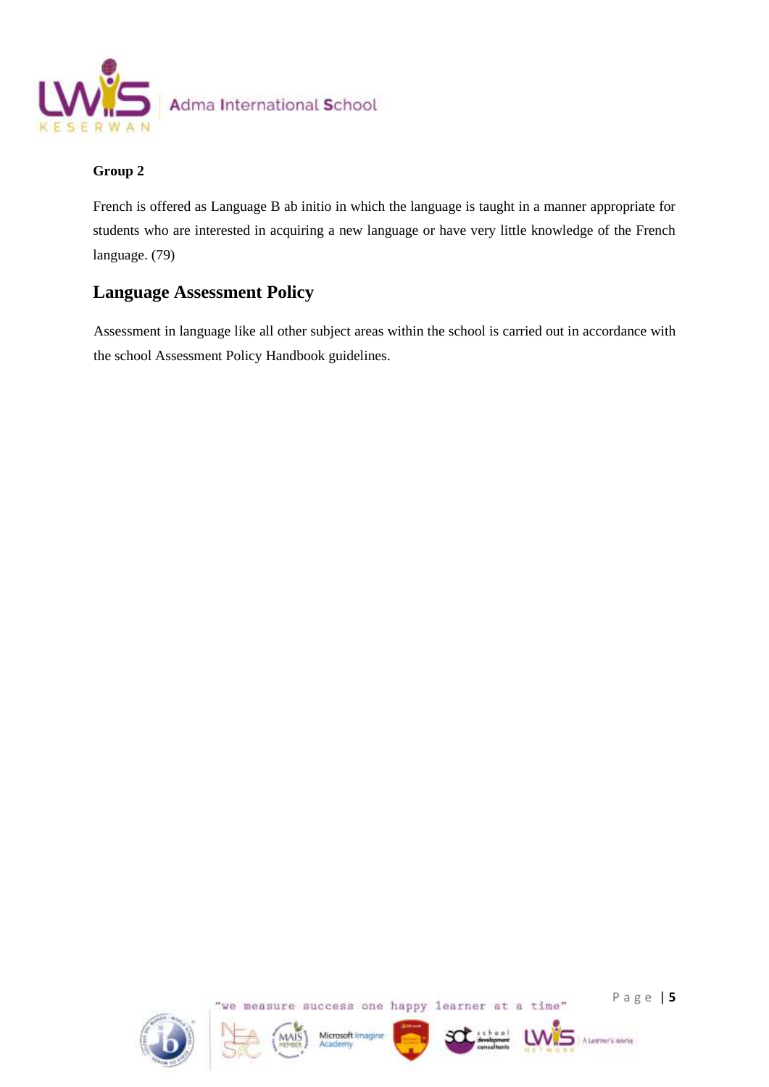

#### **Group 2**

French is offered as Language B ab initio in which the language is taught in a manner appropriate for students who are interested in acquiring a new language or have very little knowledge of the French language. (79)

# **Language Assessment Policy**

Assessment in language like all other subject areas within the school is carried out in accordance with the school Assessment Policy Handbook guidelines.









A Learner's World